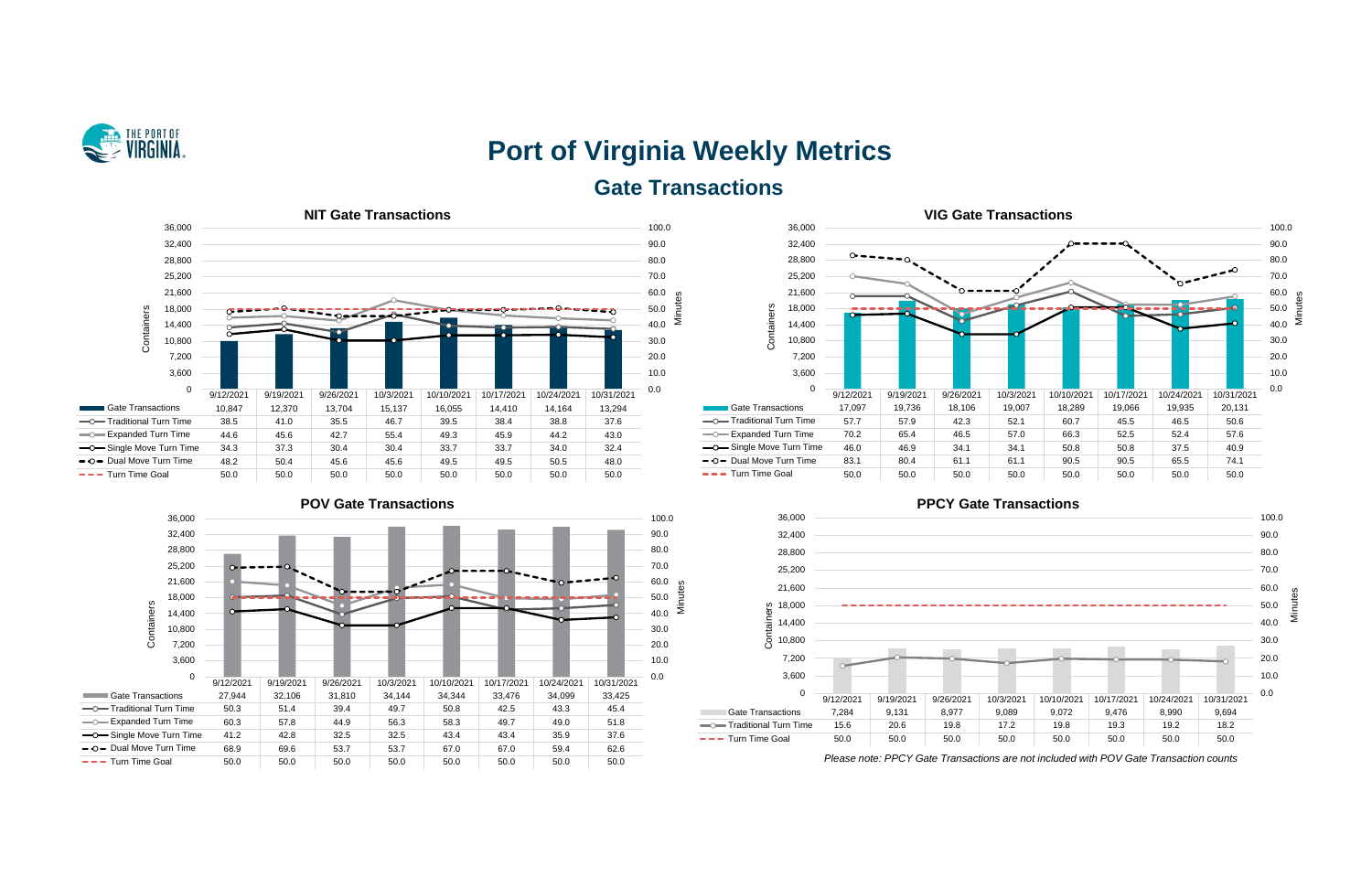

# **Port of Virginia Weekly Metrics Gate Transactions**











*Please note: PPCY Gate Transactions are not included with POV Gate Transaction counts*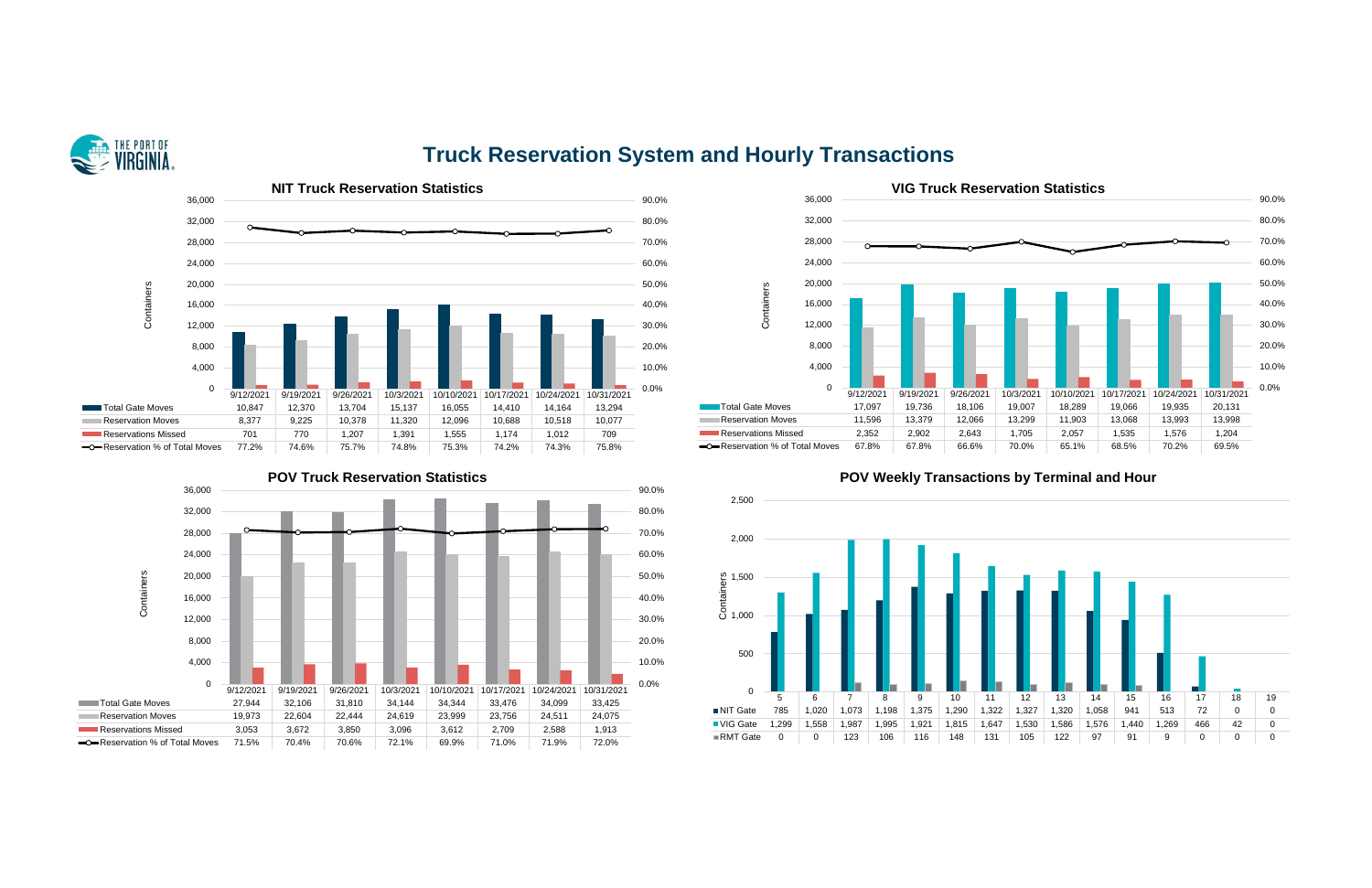

### **Truck Reservation System and Hourly Transactions**









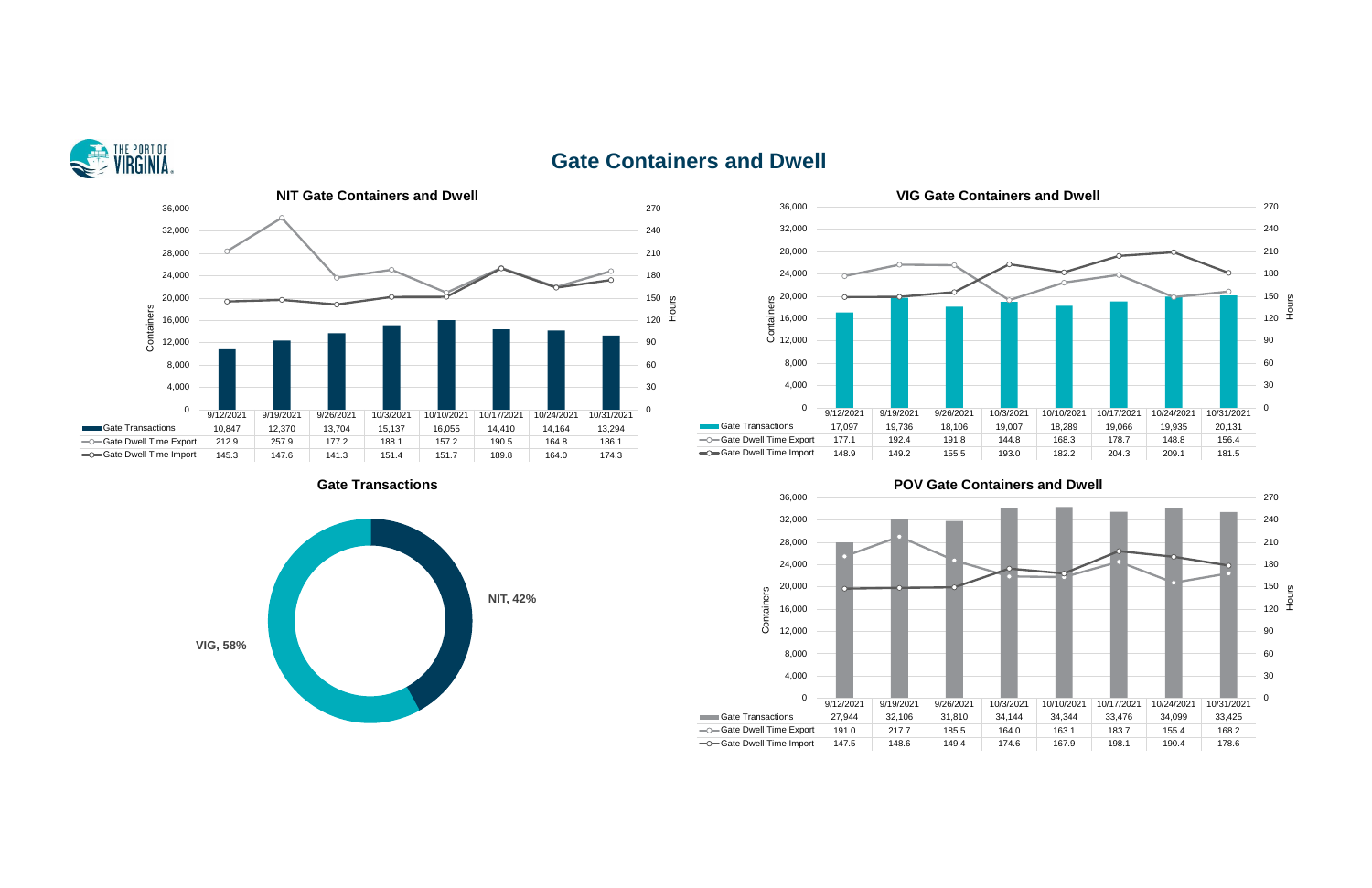

### **Gate Containers and Dwell**









**Cate Transactions Containers and Dwell**